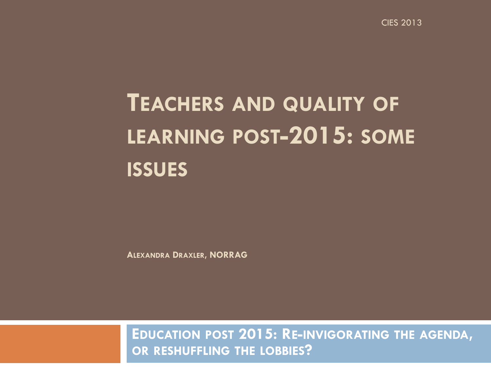CIES 2013

### **TEACHERS AND QUALITY OF LEARNING POST-2015: SOME ISSUES**

**ALEXANDRA DRAXLER, NORRAG**

**EDUCATION POST 2015: RE-INVIGORATING THE AGENDA, OR RESHUFFLING THE LOBBIES?**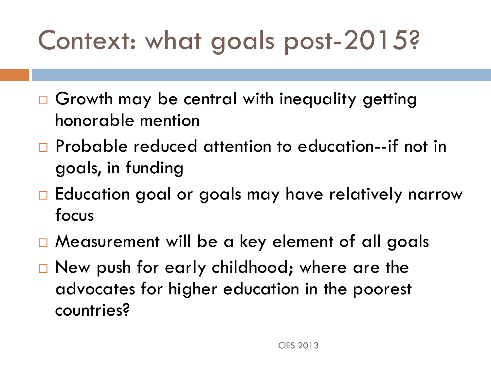# Context: what goals post-2015?

- □ Growth may be central with inequality getting honorable mention
- □ Probable reduced attention to education--if not in goals, in funding
- $\Box$  Education goal or goals may have relatively narrow focus
- □ Measurement will be a key element of all goals
- $\Box$  New push for early childhood; where are the advocates for higher education in the poorest countries?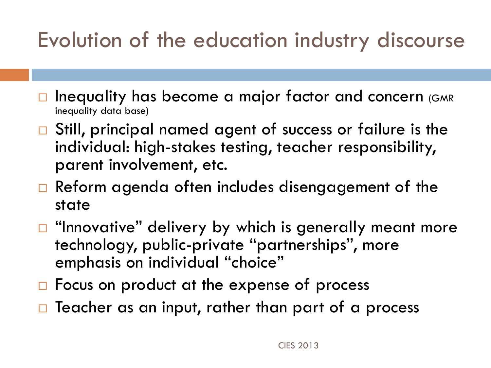#### Evolution of the education industry discourse

- Inequality has become a major factor and concern (GMR inequality data base)
- □ Still, principal named agent of success or failure is the individual: high-stakes testing, teacher responsibility, parent involvement, etc.
- $\Box$  Reform agenda often includes disengagement of the state
- $\Box$  "Innovative" delivery by which is generally meant more technology, public-private "partnerships", more emphasis on individual "choice"
- $\Box$  Focus on product at the expense of process
- $\Box$  Teacher as an input, rather than part of a process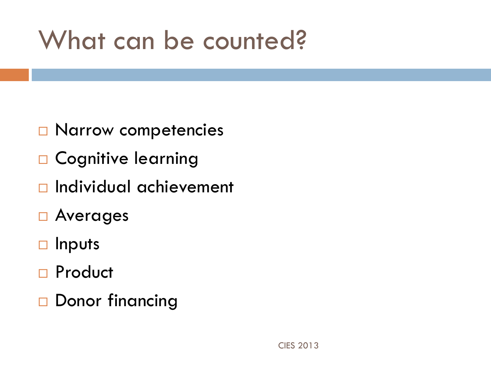## What can be counted?

- □ Narrow competencies
- □ Cognitive learning
- $\Box$  Individual achievement
- □ Averages
- □ Inputs
- □ Product
- □ Donor financing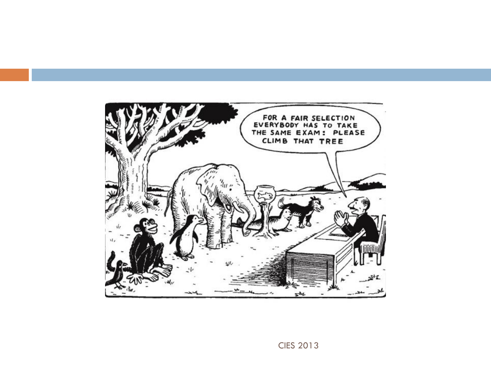

CIES 2013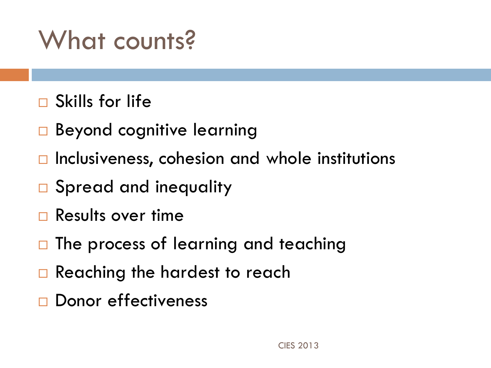## What counts?

- $\Box$  Skills for life
- □ Beyond cognitive learning
- $\Box$  Inclusiveness, cohesion and whole institutions
- □ Spread and inequality
- $\Box$  Results over time
- $\Box$  The process of learning and teaching
- □ Reaching the hardest to reach
- Donor effectiveness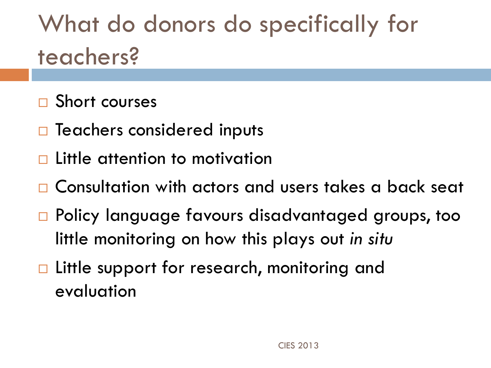What do donors do specifically for teachers?

- □ Short courses
- $\Box$  Teachers considered inputs
- $\square$  Little attention to motivation
- Consultation with actors and users takes a back seat
- □ Policy language favours disadvantaged groups, too little monitoring on how this plays out *in situ*
- □ Little support for research, monitoring and evaluation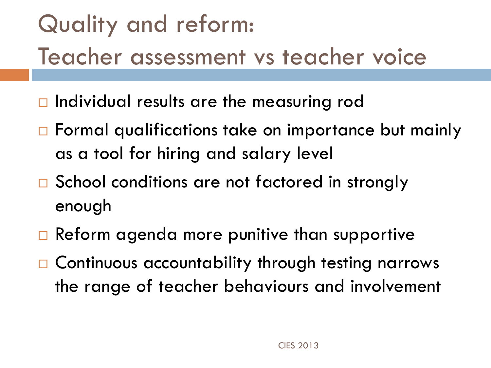## Quality and reform: Teacher assessment vs teacher voice

- $\Box$  Individual results are the measuring rod
- □ Formal qualifications take on importance but mainly as a tool for hiring and salary level
- □ School conditions are not factored in strongly enough
- $\Box$  Reform agenda more punitive than supportive
- □ Continuous accountability through testing narrows the range of teacher behaviours and involvement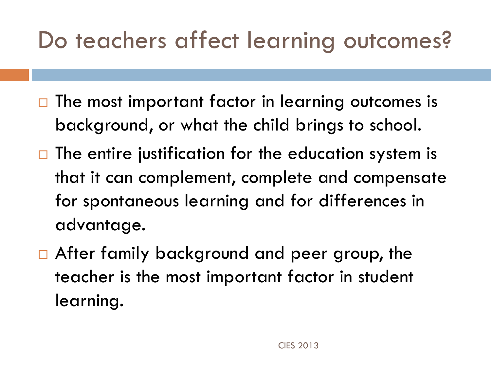#### Do teachers affect learning outcomes?

- $\Box$  The most important factor in learning outcomes is background, or what the child brings to school.
- $\Box$  The entire justification for the education system is that it can complement, complete and compensate for spontaneous learning and for differences in advantage.
- After family background and peer group, the teacher is the most important factor in student learning.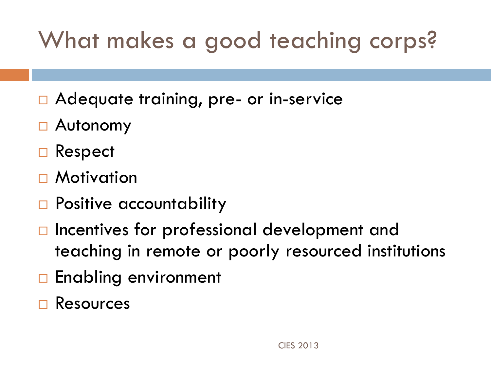#### What makes a good teaching corps?

- □ Adequate training, pre- or in-service
- Autonomy
- □ Respect
- □ Motivation
- □ Positive accountability
- $\Box$  Incentives for professional development and teaching in remote or poorly resourced institutions
- □ Enabling environment
- Resources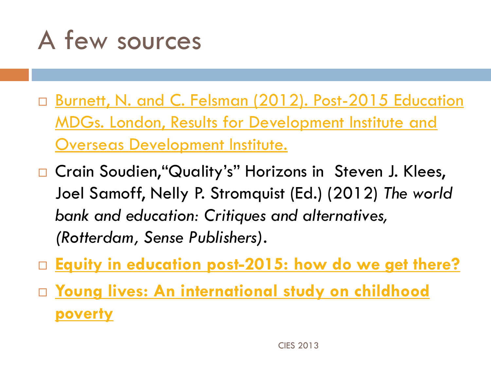

- □ Burnett, N. and C. Felsman (2012). Post-2015 Education [MDGs. London, Results for Development Institute and](http://www.odi.org.uk/sites/odi.org.uk/files/odi-assets/publications-opinion-files/7776.pdf)  [Overseas Development Institute.](http://www.odi.org.uk/sites/odi.org.uk/files/odi-assets/publications-opinion-files/7776.pdf)
- □ Crain Soudien, "Quality's" Horizons in Steven J. Klees, Joel Samoff, Nelly P. Stromquist (Ed.) (2012) *The world bank and education: Critiques and alternatives, (Rotterdam, Sense Publishers).*
- **[Equity in education post-2015: how do we get](http://efareport.wordpress.com/2013/02/20/equity-in-education-post-2015-how-do-we-get-there/) [there?](http://efareport.wordpress.com/2013/02/20/equity-in-education-post-2015-how-do-we-get-there/)**
- **[Young lives: An international study on childhood](http://www.younglives.org.uk/)  [poverty](http://www.younglives.org.uk/)**